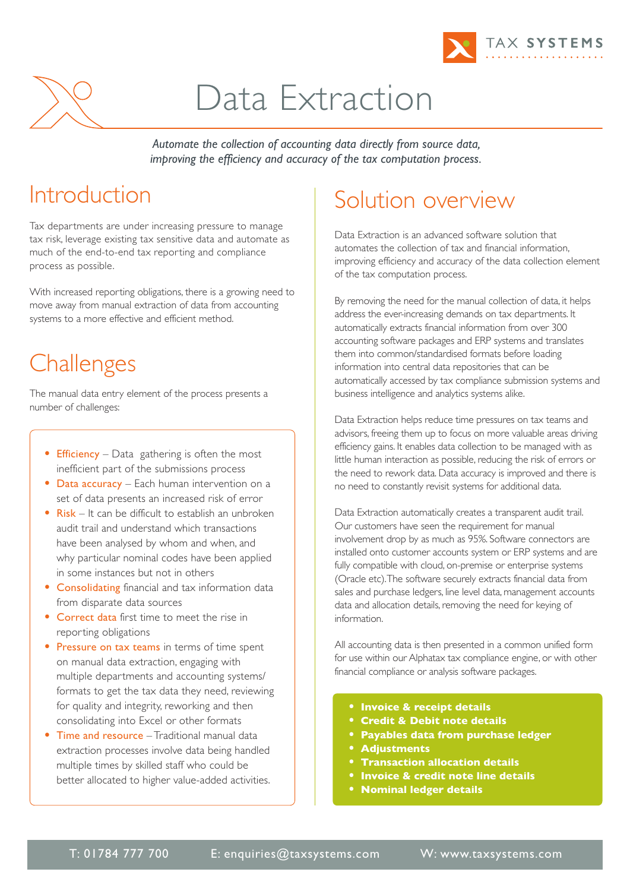



# Data Extraction

*Automate the collection of accounting data directly from source data, improving the efficiency and accuracy of the tax computation process.*

### Introduction

Tax departments are under increasing pressure to manage tax risk, leverage existing tax sensitive data and automate as much of the end-to-end tax reporting and compliance process as possible.

With increased reporting obligations, there is a growing need to move away from manual extraction of data from accounting systems to a more effective and efficient method.

# **Challenges**

The manual data entry element of the process presents a number of challenges:

- **Efficiency** Data gathering is often the most inefficient part of the submissions process
- Data accuracy Each human intervention on a set of data presents an increased risk of error
- **•** Risk It can be difficult to establish an unbroken audit trail and understand which transactions have been analysed by whom and when, and why particular nominal codes have been applied in some instances but not in others
- **•** Consolidating financial and tax information data from disparate data sources
- **•** Correct data first time to meet the rise in reporting obligations
- **•** Pressure on tax teams in terms of time spent on manual data extraction, engaging with multiple departments and accounting systems/ formats to get the tax data they need, reviewing for quality and integrity, reworking and then consolidating into Excel or other formats
- **•** Time and resource Traditional manual data extraction processes involve data being handled multiple times by skilled staff who could be better allocated to higher value-added activities.

# Solution overview

Data Extraction is an advanced software solution that automates the collection of tax and financial information, improving efficiency and accuracy of the data collection element of the tax computation process.

By removing the need for the manual collection of data, it helps address the ever-increasing demands on tax departments. It automatically extracts financial information from over 300 accounting software packages and ERP systems and translates them into common/standardised formats before loading information into central data repositories that can be automatically accessed by tax compliance submission systems and business intelligence and analytics systems alike.

Data Extraction helps reduce time pressures on tax teams and advisors, freeing them up to focus on more valuable areas driving efficiency gains. It enables data collection to be managed with as little human interaction as possible, reducing the risk of errors or the need to rework data. Data accuracy is improved and there is no need to constantly revisit systems for additional data.

Data Extraction automatically creates a transparent audit trail. Our customers have seen the requirement for manual involvement drop by as much as 95%. Software connectors are installed onto customer accounts system or ERP systems and are fully compatible with cloud, on-premise or enterprise systems (Oracle etc).The software securely extracts financial data from sales and purchase ledgers, line level data, management accounts data and allocation details, removing the need for keying of information.

All accounting data is then presented in a common unified form for use within our Alphatax tax compliance engine, or with other financial compliance or analysis software packages.

- **• Invoice & receipt details**
- **• Credit & Debit note details**
- **• Payables data from purchase ledger**
- **• Adjustments**
- **• Transaction allocation details**
- **• Invoice & credit note line details**
- **• Nominal ledger details**